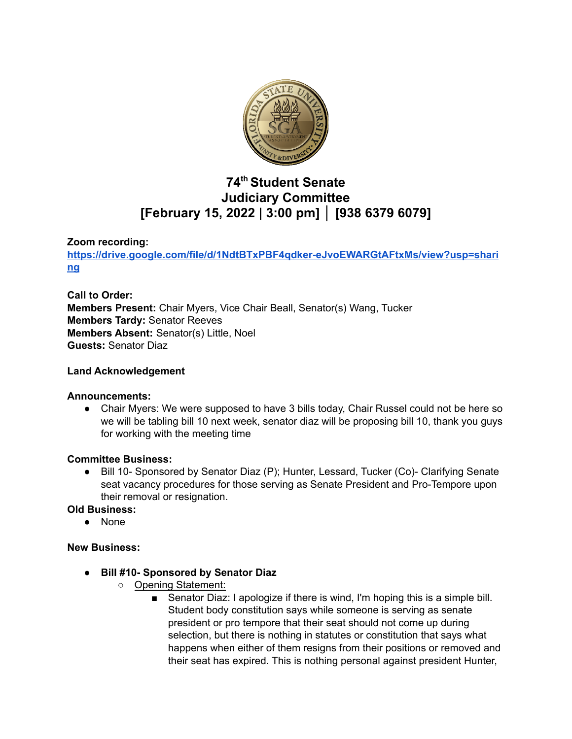

# **74 th Student Senate Judiciary Committee [February 15, 2022 | 3:00 pm] │ [938 6379 6079]**

## **Zoom recording:**

**[https://drive.google.com/file/d/1NdtBTxPBF4qdker-eJvoEWARGtAFtxMs/view?usp=shari](https://drive.google.com/file/d/1NdtBTxPBF4qdker-eJvoEWARGtAFtxMs/view?usp=sharing) [ng](https://drive.google.com/file/d/1NdtBTxPBF4qdker-eJvoEWARGtAFtxMs/view?usp=sharing)**

**Call to Order: Members Present:** Chair Myers, Vice Chair Beall, Senator(s) Wang, Tucker **Members Tardy:** Senator Reeves **Members Absent:** Senator(s) Little, Noel **Guests:** Senator Diaz

## **Land Acknowledgement**

## **Announcements:**

● Chair Myers: We were supposed to have 3 bills today, Chair Russel could not be here so we will be tabling bill 10 next week, senator diaz will be proposing bill 10, thank you guys for working with the meeting time

## **Committee Business:**

● Bill 10- Sponsored by Senator Diaz (P); Hunter, Lessard, Tucker (Co)- Clarifying Senate seat vacancy procedures for those serving as Senate President and Pro-Tempore upon their removal or resignation.

## **Old Business:**

● None

## **New Business:**

- **● Bill #10- Sponsored by Senator Diaz**
	- Opening Statement:
		- Senator Diaz: I apologize if there is wind, I'm hoping this is a simple bill. Student body constitution says while someone is serving as senate president or pro tempore that their seat should not come up during selection, but there is nothing in statutes or constitution that says what happens when either of them resigns from their positions or removed and their seat has expired. This is nothing personal against president Hunter,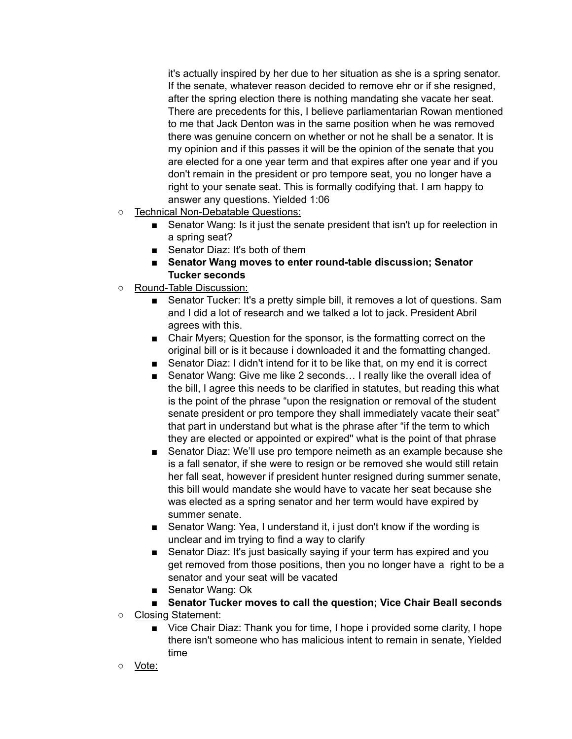it's actually inspired by her due to her situation as she is a spring senator. If the senate, whatever reason decided to remove ehr or if she resigned, after the spring election there is nothing mandating she vacate her seat. There are precedents for this, I believe parliamentarian Rowan mentioned to me that Jack Denton was in the same position when he was removed there was genuine concern on whether or not he shall be a senator. It is my opinion and if this passes it will be the opinion of the senate that you are elected for a one year term and that expires after one year and if you don't remain in the president or pro tempore seat, you no longer have a right to your senate seat. This is formally codifying that. I am happy to answer any questions. Yielded 1:06

- Technical Non-Debatable Questions:
	- Senator Wang: Is it just the senate president that isn't up for reelection in a spring seat?
	- Senator Diaz: It's both of them
	- **Senator Wang moves to enter round-table discussion; Senator Tucker seconds**
- Round-Table Discussion:
	- Senator Tucker: It's a pretty simple bill, it removes a lot of questions. Sam and I did a lot of research and we talked a lot to jack. President Abril agrees with this.
	- Chair Myers; Question for the sponsor, is the formatting correct on the original bill or is it because i downloaded it and the formatting changed.
	- Senator Diaz: I didn't intend for it to be like that, on my end it is correct
	- Senator Wang: Give me like 2 seconds... I really like the overall idea of the bill, I agree this needs to be clarified in statutes, but reading this what is the point of the phrase "upon the resignation or removal of the student senate president or pro tempore they shall immediately vacate their seat" that part in understand but what is the phrase after "if the term to which they are elected or appointed or expired'' what is the point of that phrase
	- Senator Diaz: We'll use pro tempore neimeth as an example because she is a fall senator, if she were to resign or be removed she would still retain her fall seat, however if president hunter resigned during summer senate, this bill would mandate she would have to vacate her seat because she was elected as a spring senator and her term would have expired by summer senate.
	- Senator Wang: Yea, I understand it, i just don't know if the wording is unclear and im trying to find a way to clarify
	- Senator Diaz: It's just basically saying if your term has expired and you get removed from those positions, then you no longer have a right to be a senator and your seat will be vacated
	- Senator Wang: Ok
	- **Senator Tucker moves to call the question; Vice Chair Beall seconds**
- Closing Statement:
	- Vice Chair Diaz: Thank you for time, I hope i provided some clarity, I hope there isn't someone who has malicious intent to remain in senate, Yielded time
- Vote: